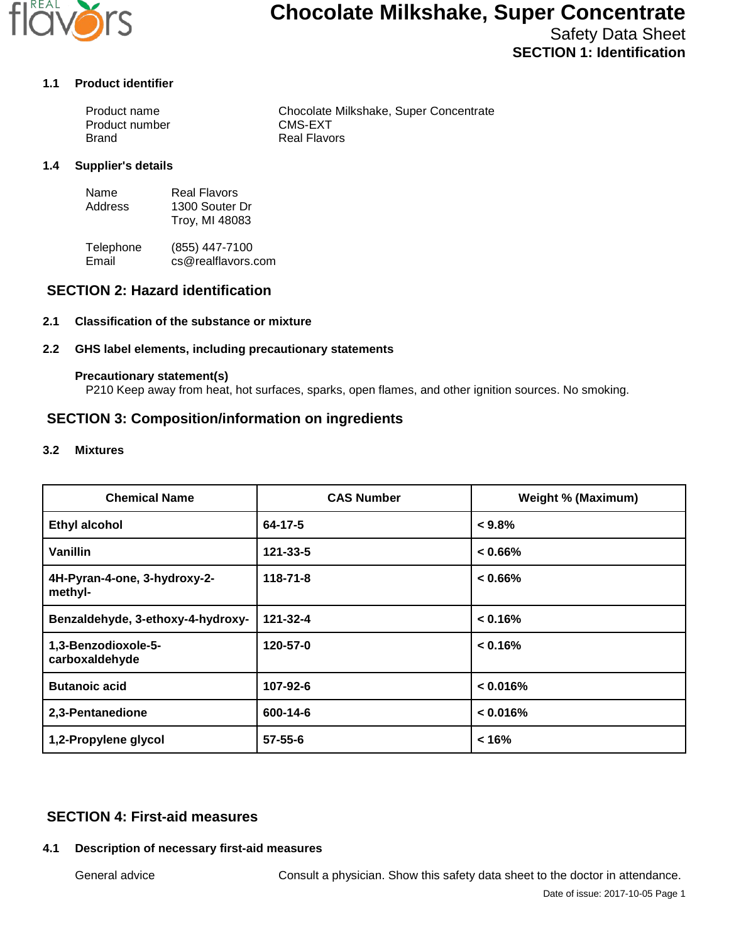

# **Chocolate Milkshake, Super Concentrate**

Safety Data Sheet **SECTION 1: Identification**

#### **1.1 Product identifier**

| Product name   | Chocolate Milkshake, Super Concentrate |
|----------------|----------------------------------------|
| Product number | CMS-EXT                                |
| Brand          | Real Flavors                           |

#### **1.4 Supplier's details**

| Name    | Real Flavors   |
|---------|----------------|
| Address | 1300 Souter Dr |
|         | Troy, MI 48083 |

Telephone (855) 447-7100<br>Email cs@realflavors. cs@realflavors.com

# **SECTION 2: Hazard identification**

#### **2.1 Classification of the substance or mixture**

#### **2.2 GHS label elements, including precautionary statements**

#### **Precautionary statement(s)**

P210 Keep away from heat, hot surfaces, sparks, open flames, and other ignition sources. No smoking.

## **SECTION 3: Composition/information on ingredients**

#### **3.2 Mixtures**

| <b>Chemical Name</b>                    | <b>CAS Number</b> | <b>Weight % (Maximum)</b> |
|-----------------------------------------|-------------------|---------------------------|
| <b>Ethyl alcohol</b>                    | 64-17-5           | $< 9.8\%$                 |
| Vanillin                                | 121-33-5          | $< 0.66\%$                |
| 4H-Pyran-4-one, 3-hydroxy-2-<br>methyl- | $118 - 71 - 8$    | $< 0.66\%$                |
| Benzaldehyde, 3-ethoxy-4-hydroxy-       | 121-32-4          | < 0.16%                   |
| 1,3-Benzodioxole-5-<br>carboxaldehyde   | 120-57-0          | < 0.16%                   |
| <b>Butanoic acid</b>                    | 107-92-6          | < 0.016%                  |
| 2,3-Pentanedione                        | 600-14-6          | < 0.016%                  |
| 1,2-Propylene glycol                    | $57 - 55 - 6$     | < 16%                     |

# **SECTION 4: First-aid measures**

#### **4.1 Description of necessary first-aid measures**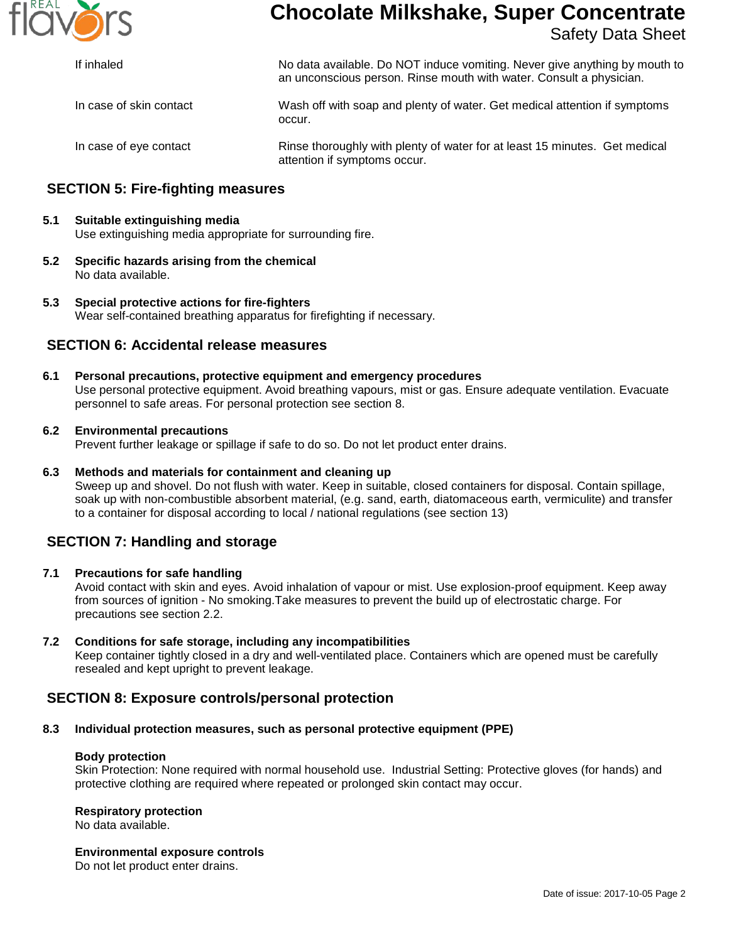

# **Chocolate Milkshake, Super Concentrate**

Safety Data Sheet

| If inhaled              | No data available. Do NOT induce vomiting. Never give anything by mouth to<br>an unconscious person. Rinse mouth with water. Consult a physician. |
|-------------------------|---------------------------------------------------------------------------------------------------------------------------------------------------|
| In case of skin contact | Wash off with soap and plenty of water. Get medical attention if symptoms<br>occur.                                                               |
| In case of eye contact  | Rinse thoroughly with plenty of water for at least 15 minutes. Get medical<br>attention if symptoms occur.                                        |

# **SECTION 5: Fire-fighting measures**

#### **5.1 Suitable extinguishing media** Use extinguishing media appropriate for surrounding fire.

**5.2 Specific hazards arising from the chemical** No data available.

#### **5.3 Special protective actions for fire-fighters** Wear self-contained breathing apparatus for firefighting if necessary.

## **SECTION 6: Accidental release measures**

**6.1 Personal precautions, protective equipment and emergency procedures** Use personal protective equipment. Avoid breathing vapours, mist or gas. Ensure adequate ventilation. Evacuate personnel to safe areas. For personal protection see section 8.

#### **6.2 Environmental precautions**

Prevent further leakage or spillage if safe to do so. Do not let product enter drains.

#### **6.3 Methods and materials for containment and cleaning up**

Sweep up and shovel. Do not flush with water. Keep in suitable, closed containers for disposal. Contain spillage, soak up with non-combustible absorbent material, (e.g. sand, earth, diatomaceous earth, vermiculite) and transfer to a container for disposal according to local / national regulations (see section 13)

# **SECTION 7: Handling and storage**

#### **7.1 Precautions for safe handling**

Avoid contact with skin and eyes. Avoid inhalation of vapour or mist. Use explosion-proof equipment. Keep away from sources of ignition - No smoking.Take measures to prevent the build up of electrostatic charge. For precautions see section 2.2.

#### **7.2 Conditions for safe storage, including any incompatibilities**

Keep container tightly closed in a dry and well-ventilated place. Containers which are opened must be carefully resealed and kept upright to prevent leakage.

# **SECTION 8: Exposure controls/personal protection**

#### **8.3 Individual protection measures, such as personal protective equipment (PPE)**

#### **Body protection**

Skin Protection: None required with normal household use. Industrial Setting: Protective gloves (for hands) and protective clothing are required where repeated or prolonged skin contact may occur.

#### **Respiratory protection**

No data available.

#### **Environmental exposure controls**

Do not let product enter drains.